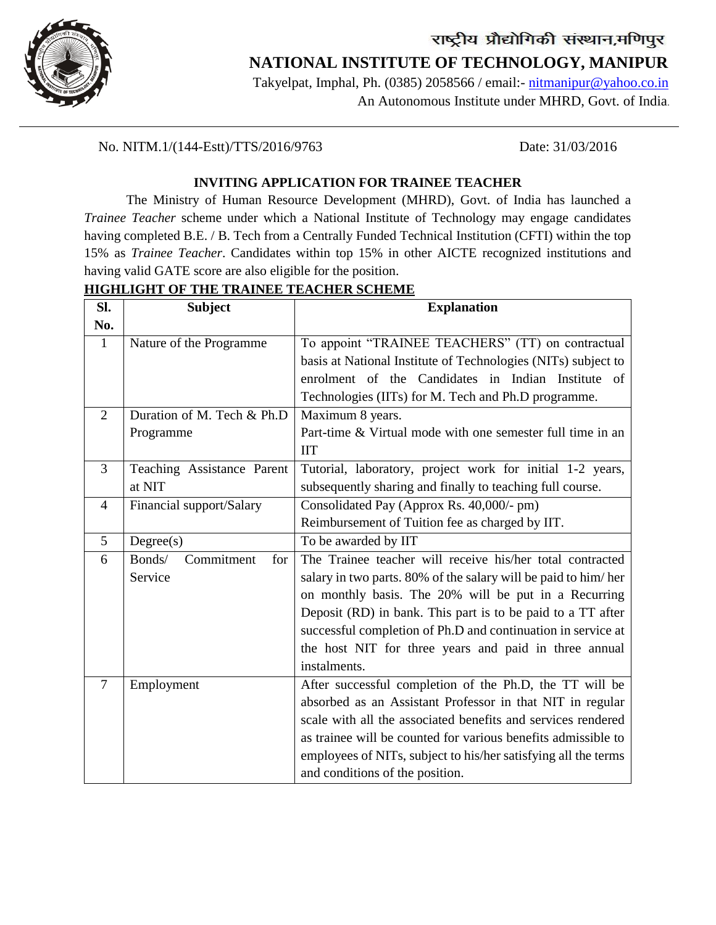

## राष्ट्रीय प्रौद्योगिकी संस्थान,मणिपुर  **NATIONAL INSTITUTE OF TECHNOLOGY, MANIPUR**

Takyelpat, Imphal, Ph. (0385) 2058566 / email:- [nitmanipur@yahoo.co.in](mailto:nitmanipur@yahoo.co.in) An Autonomous Institute under MHRD, Govt. of India.

No. NITM.1/(144-Estt)/TTS/2016/9763 Date: 31/03/2016

#### **INVITING APPLICATION FOR TRAINEE TEACHER**

The Ministry of Human Resource Development (MHRD), Govt. of India has launched a *Trainee Teacher* scheme under which a National Institute of Technology may engage candidates having completed B.E. / B. Tech from a Centrally Funded Technical Institution (CFTI) within the top 15% as *Trainee Teacher*. Candidates within top 15% in other AICTE recognized institutions and having valid GATE score are also eligible for the position.

#### **HIGHLIGHT OF THE TRAINEE TEACHER SCHEME**

| SI.            | <b>Subject</b>              | <b>Explanation</b>                                             |
|----------------|-----------------------------|----------------------------------------------------------------|
| No.            |                             |                                                                |
| $\mathbf{1}$   | Nature of the Programme     | To appoint "TRAINEE TEACHERS" (TT) on contractual              |
|                |                             | basis at National Institute of Technologies (NITs) subject to  |
|                |                             | enrolment of the Candidates in Indian Institute of             |
|                |                             | Technologies (IITs) for M. Tech and Ph.D programme.            |
| 2              | Duration of M. Tech & Ph.D  | Maximum 8 years.                                               |
|                | Programme                   | Part-time & Virtual mode with one semester full time in an     |
|                |                             | <b>IIT</b>                                                     |
| 3              | Teaching Assistance Parent  | Tutorial, laboratory, project work for initial 1-2 years,      |
|                | at NIT                      | subsequently sharing and finally to teaching full course.      |
| $\overline{4}$ | Financial support/Salary    | Consolidated Pay (Approx Rs. 40,000/- pm)                      |
|                |                             | Reimbursement of Tuition fee as charged by IIT.                |
| 5              | Degree(s)                   | To be awarded by IIT                                           |
| 6              | Commitment<br>Bonds/<br>for | The Trainee teacher will receive his/her total contracted      |
|                | Service                     | salary in two parts. 80% of the salary will be paid to him/her |
|                |                             | on monthly basis. The 20% will be put in a Recurring           |
|                |                             | Deposit (RD) in bank. This part is to be paid to a TT after    |
|                |                             | successful completion of Ph.D and continuation in service at   |
|                |                             | the host NIT for three years and paid in three annual          |
|                |                             | instalments.                                                   |
| $\overline{7}$ | Employment                  | After successful completion of the Ph.D, the TT will be        |
|                |                             | absorbed as an Assistant Professor in that NIT in regular      |
|                |                             | scale with all the associated benefits and services rendered   |
|                |                             | as trainee will be counted for various benefits admissible to  |
|                |                             | employees of NITs, subject to his/her satisfying all the terms |
|                |                             | and conditions of the position.                                |